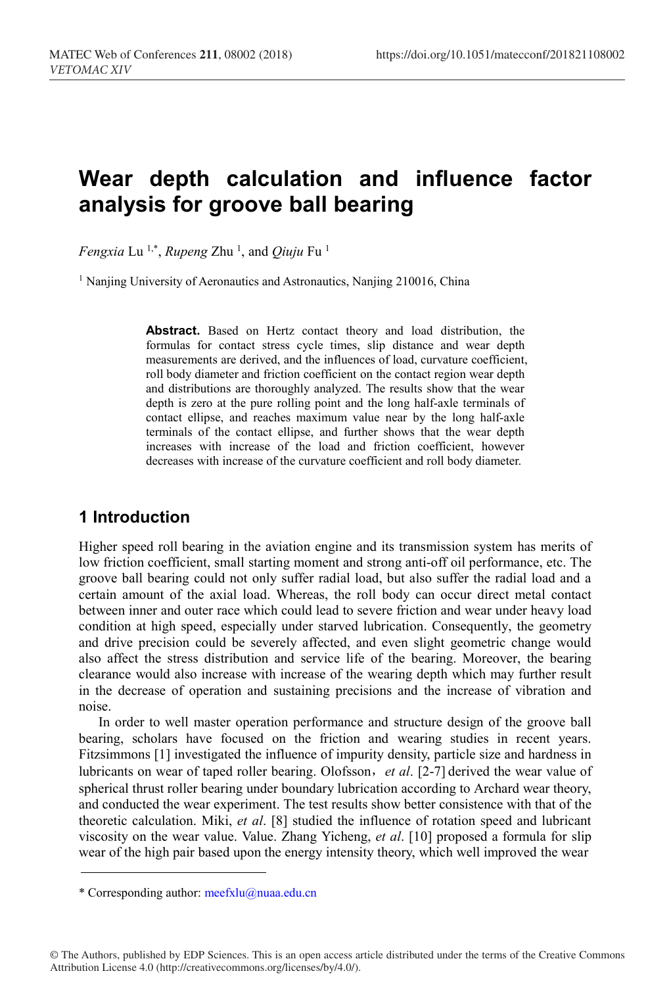# **Wear depth calculation and influence factor analysis for groove ball bearing**

*Fengxia* Lu 1,\* , *Rupeng* Zhu <sup>1</sup> , and *Qiuju* Fu <sup>1</sup>

<sup>1</sup> Nanjing University of Aeronautics and Astronautics, Nanjing 210016, China

**Abstract.** Based on Hertz contact theory and load distribution, the formulas for contact stress cycle times, slip distance and wear depth measurements are derived, and the influences of load, curvature coefficient, roll body diameter and friction coefficient on the contact region wear depth and distributions are thoroughly analyzed. The results show that the wear depth is zero at the pure rolling point and the long half-axle terminals of contact ellipse, and reaches maximum value near by the long half-axle terminals of the contact ellipse, and further shows that the wear depth increases with increase of the load and friction coefficient, however decreases with increase of the curvature coefficient and roll body diameter.

# **1 Introduction**

Higher speed roll bearing in the aviation engine and its transmission system has merits of low friction coefficient, small starting moment and strong anti-off oil performance, etc. The groove ball bearing could not only suffer radial load, but also suffer the radial load and a certain amount of the axial load. Whereas, the roll body can occur direct metal contact between inner and outer race which could lead to severe friction and wear under heavy load condition at high speed, especially under starved lubrication. Consequently, the geometry and drive precision could be severely affected, and even slight geometric change would also affect the stress distribution and service life of the bearing. Moreover, the bearing clearance would also increase with increase of the wearing depth which may further result in the decrease of operation and sustaining precisions and the increase of vibration and noise.

In order to well master operation performance and structure design of the groove ball bearing, scholars have focused on the friction and wearing studies in recent years. Fitzsimmons [1] investigated the influence of impurity density, particle size and hardness in lubricants on wear of taped roller bearing. Olofsson,*et al*. [2-7] derived the wear value of spherical thrust roller bearing under boundary lubrication according to Archard wear theory, and conducted the wear experiment. The test results show better consistence with that of the theoretic calculation. Miki, *et al*. [8] studied the influence of rotation speed and lubricant viscosity on the wear value. Value. Zhang Yicheng, *et al*. [10] proposed a formula for slip wear of the high pair based upon the energy intensity theory, which well improved the wear

<sup>\*</sup> Corresponding author: meefxlu@nuaa.edu.cn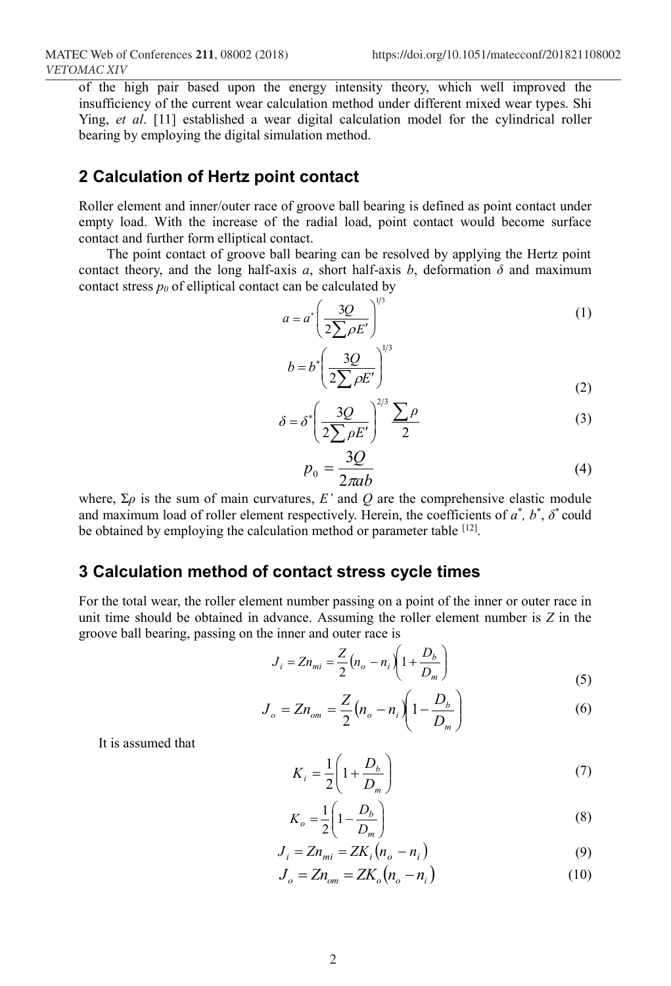of the high pair based upon the energy intensity theory, which well improved the insufficiency of the current wear calculation method under different mixed wear types. Shi Ying, *et al*. [11] established a wear digital calculation model for the cylindrical roller bearing by employing the digital simulation method.

## **2 Calculation of Hertz point contact**

Roller element and inner/outer race of groove ball bearing is defined as point contact under empty load. With the increase of the radial load, point contact would become surface contact and further form elliptical contact.

The point contact of groove ball bearing can be resolved by applying the Hertz point contact theory, and the long half-axis  $a$ , short half-axis  $b$ , deformation  $\delta$  and maximum contact stress  $p_0$  of elliptical contact can be calculated by

$$
a = a^* \left(\frac{3Q}{2\sum \rho E'}\right)^{1/3} \tag{1}
$$

$$
b = b^* \left( \frac{3Q}{2\sum_{i} \rho E'} \right)^{1/3}
$$
 (2)

$$
\delta = \delta^* \left( \frac{3Q}{2\sum_{i} \rho E'} \right)^{2/3} \frac{\sum_{i} \rho}{2}
$$
 (3)

$$
p_0 = \frac{3Q}{2\pi ab} \tag{4}
$$

where,  $\Sigma \rho$  is the sum of main curvatures, *E'* and *Q* are the comprehensive elastic module and maximum load of roller element respectively. Herein, the coefficients of  $a^*$ ,  $b^*$ ,  $\delta^*$  could be obtained by employing the calculation method or parameter table [12].

# **3 Calculation method of contact stress cycle times**

For the total wear, the roller element number passing on a point of the inner or outer race in unit time should be obtained in advance. Assuming the roller element number is *Z* in the groove ball bearing, passing on the inner and outer race is

$$
J_i = Zn_{mi} = \frac{Z}{2}(n_o - n_i) \left(1 + \frac{D_b}{D_m}\right)
$$
 (5)

$$
J_o = Z n_{om} = \frac{Z}{2} (n_o - n_i) \left( 1 - \frac{D_b}{D_m} \right)
$$
 (6)

It is assumed that

$$
K_i = \frac{1}{2} \left( 1 + \frac{D_b}{D_m} \right) \tag{7}
$$

$$
K_o = \frac{1}{2} \left( 1 - \frac{D_b}{D_m} \right) \tag{8}
$$

$$
J_i = Zn_{mi} = ZK_i \left( n_o - n_i \right) \tag{9}
$$

$$
J_o = Z n_{om} = Z K_o \left( n_o - n_i \right) \tag{10}
$$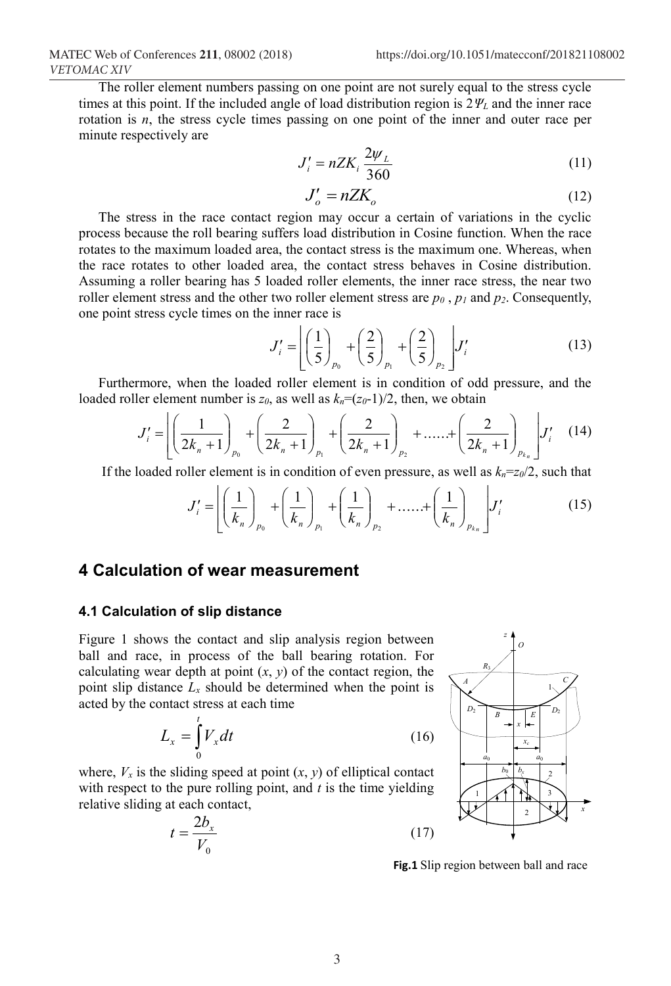The roller element numbers passing on one point are not surely equal to the stress cycle times at this point. If the included angle of load distribution region is  $2\Psi_L$  and the inner race rotation is *n*, the stress cycle times passing on one point of the inner and outer race per minute respectively are

$$
J_i' = nZK_i \frac{2\psi_L}{360} \tag{11}
$$

$$
J'_o = nZK_o \tag{12}
$$

The stress in the race contact region may occur a certain of variations in the cyclic process because the roll bearing suffers load distribution in Cosine function. When the race rotates to the maximum loaded area, the contact stress is the maximum one. Whereas, when the race rotates to other loaded area, the contact stress behaves in Cosine distribution. Assuming a roller bearing has 5 loaded roller elements, the inner race stress, the near two roller element stress and the other two roller element stress are  $p_0$ ,  $p_1$  and  $p_2$ . Consequently, one point stress cycle times on the inner race is

$$
J'_{i} = \left[ \left( \frac{1}{5} \right)_{p_{0}} + \left( \frac{2}{5} \right)_{p_{1}} + \left( \frac{2}{5} \right)_{p_{2}} \right] J'_{i}
$$
 (13)

Furthermore, when the loaded roller element is in condition of odd pressure, and the loaded roller element number is  $z_0$ , as well as  $k_n = (z_0 - 1)/2$ , then, we obtain

$$
J'_{i} = \left[ \left( \frac{1}{2k_{n}+1} \right)_{p_{0}} + \left( \frac{2}{2k_{n}+1} \right)_{p_{1}} + \left( \frac{2}{2k_{n}+1} \right)_{p_{2}} + \dots + \left( \frac{2}{2k_{n}+1} \right)_{p_{k_{n}}} \right] J'_{i} \quad (14)
$$

If the loaded roller element is in condition of even pressure, as well as  $k_n = z_0/2$ , such that

$$
J'_{i} = \left[ \left( \frac{1}{k_{n}} \right)_{p_{0}} + \left( \frac{1}{k_{n}} \right)_{p_{1}} + \left( \frac{1}{k_{n}} \right)_{p_{2}} + \dots + \left( \frac{1}{k_{n}} \right)_{p_{k_{n}}} \right] J'_{i}
$$
(15)

## **4 Calculation of wear measurement**

#### **4.1 Calculation of slip distance**

Figure 1 shows the contact and slip analysis region between ball and race, in process of the ball bearing rotation. For calculating wear depth at point  $(x, y)$  of the contact region, the point slip distance  $L_x$  should be determined when the point is acted by the contact stress at each time

$$
L_x = \int_0^t V_x dt
$$
 (16)

where,  $V_x$  is the sliding speed at point  $(x, y)$  of elliptical contact with respect to the pure rolling point, and *t* is the time yielding relative sliding at each contact,

$$
t = \frac{2b_x}{V_0} \tag{17}
$$



 **Fig.1** Slip region between ball and race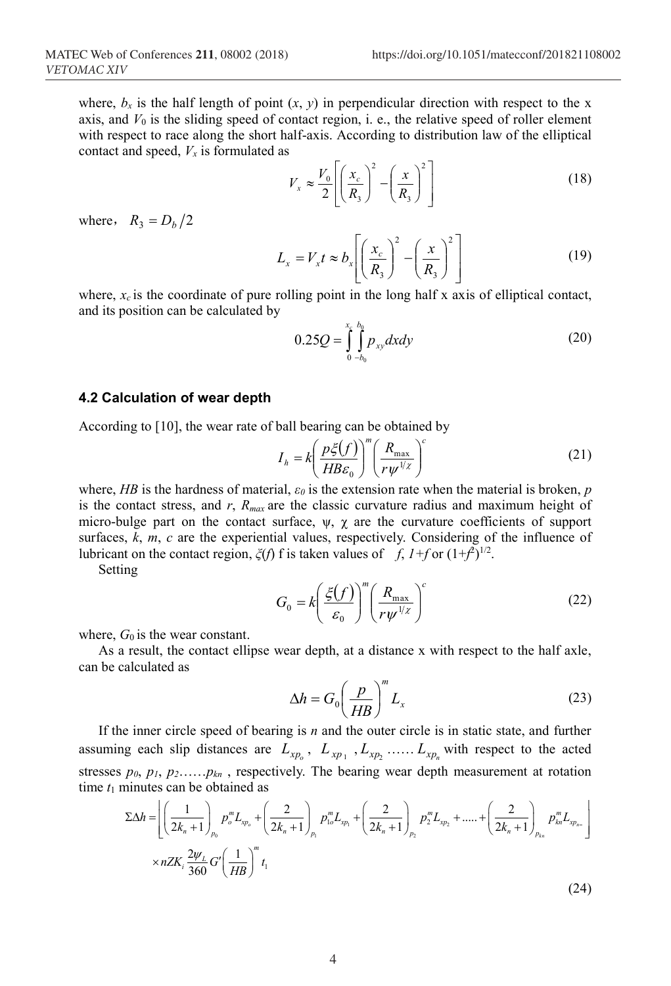where,  $b_x$  is the half length of point  $(x, y)$  in perpendicular direction with respect to the x axis, and  $V_0$  is the sliding speed of contact region, i. e., the relative speed of roller element with respect to race along the short half-axis. According to distribution law of the elliptical contact and speed,  $V_x$  is formulated as

$$
V_x \approx \frac{V_0}{2} \left[ \left( \frac{x_c}{R_3} \right)^2 - \left( \frac{x}{R_3} \right)^2 \right]
$$
 (18)

where,  $R_3 = D_h/2$ 

$$
L_x = V_x t \approx b_x \left[ \left( \frac{x_c}{R_3} \right)^2 - \left( \frac{x}{R_3} \right)^2 \right]
$$
 (19)

where,  $x_c$  is the coordinate of pure rolling point in the long half x axis of elliptical contact, and its position can be calculated by

$$
0.25Q = \int_{0}^{x_c} \int_{-b_0}^{b_0} p_{xy} dx dy
$$
 (20)

#### **4.2 Calculation of wear depth**

According to [10], the wear rate of ball bearing can be obtained by

$$
I_h = k \left( \frac{p \xi(f)}{H B \varepsilon_0} \right)^m \left( \frac{R_{\text{max}}}{r \psi^{1/z}} \right)^c \tag{21}
$$

where, *HB* is the hardness of material,  $\varepsilon_0$  is the extension rate when the material is broken, *p* is the contact stress, and *r*, *Rmax* are the classic curvature radius and maximum height of micro-bulge part on the contact surface,  $\psi$ ,  $\chi$  are the curvature coefficients of support surfaces, *k*, *m*, *c* are the experiential values, respectively. Considering of the influence of lubricant on the contact region,  $\zeta(f)$  f is taken values of *f*, *l*+*f* or (1+*f*<sup>2</sup>)<sup>1/2</sup>.

Setting

$$
G_0 = k \left(\frac{\xi(f)}{\varepsilon_0}\right)^m \left(\frac{R_{\text{max}}}{r \psi^{1/z}}\right)^c \tag{22}
$$

where,  $G_0$  is the wear constant.

As a result, the contact ellipse wear depth, at a distance x with respect to the half axle, can be calculated as

$$
\Delta h = G_0 \left(\frac{p}{HB}\right)^m L_x \tag{23}
$$

If the inner circle speed of bearing is *n* and the outer circle is in static state, and further assuming each slip distances are  $L_{xp_0}$ ,  $L_{xp_1}$ ,  $L_{xp_2}$ , ......  $L_{xp_n}$  with respect to the acted stresses *p0*, *p1*, *p2*……*pkn* , respectively. The bearing wear depth measurement at rotation time  $t_1$  minutes can be obtained as

$$
\Sigma \Delta h = \left[ \left( \frac{1}{2k_n + 1} \right)_{p_0} p_o^m L_{x p_o} + \left( \frac{2}{2k_n + 1} \right)_{p_1} p_{1 o}^m L_{x p_1} + \left( \frac{2}{2k_n + 1} \right)_{p_2} p_2^m L_{x p_2} + \dots + \left( \frac{2}{2k_n + 1} \right)_{p_{k n}} p_{k n}^m L_{x p_{n -}} \right]
$$
  
×  $n Z K_i \frac{2 \psi_L}{360} G' \left( \frac{1}{HB} \right)^m t_1$  (24)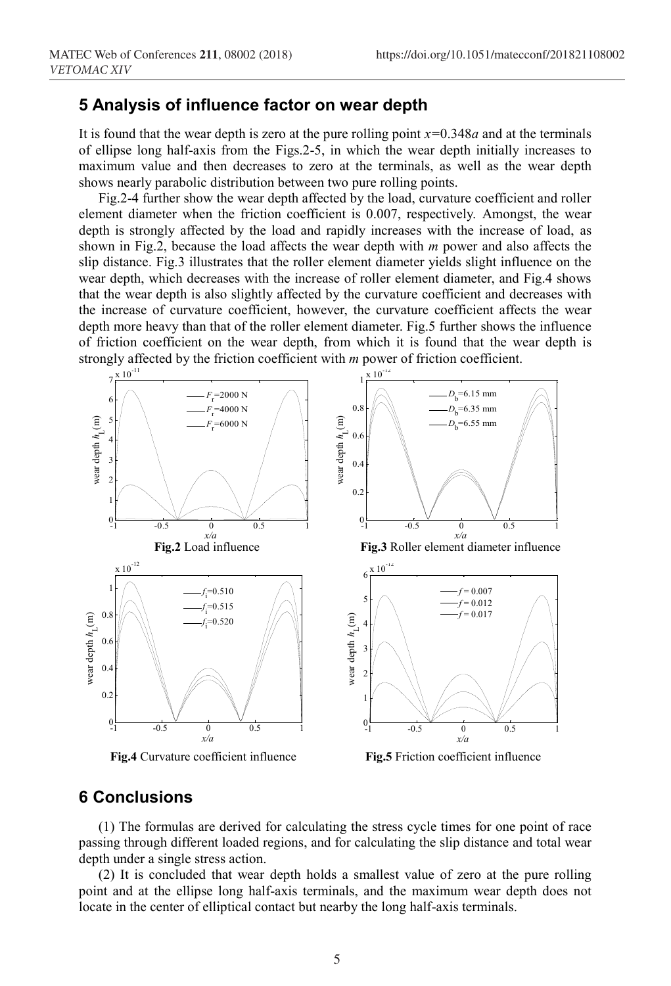## **5 Analysis of influence factor on wear depth**

It is found that the wear depth is zero at the pure rolling point *x=*0.348*a* and at the terminals of ellipse long half-axis from the Figs.2-5, in which the wear depth initially increases to maximum value and then decreases to zero at the terminals, as well as the wear depth shows nearly parabolic distribution between two pure rolling points.

Fig.2-4 further show the wear depth affected by the load, curvature coefficient and roller element diameter when the friction coefficient is 0.007, respectively. Amongst, the wear depth is strongly affected by the load and rapidly increases with the increase of load, as shown in Fig.2, because the load affects the wear depth with *m* power and also affects the slip distance. Fig.3 illustrates that the roller element diameter yields slight influence on the wear depth, which decreases with the increase of roller element diameter, and Fig.4 shows that the wear depth is also slightly affected by the curvature coefficient and decreases with the increase of curvature coefficient, however, the curvature coefficient affects the wear depth more heavy than that of the roller element diameter. Fig.5 further shows the influence of friction coefficient on the wear depth, from which it is found that the wear depth is strongly affected by the friction coefficient with *m* power of friction coefficient.



## **6 Conclusions**

(1) The formulas are derived for calculating the stress cycle times for one point of race passing through different loaded regions, and for calculating the slip distance and total wear depth under a single stress action.

(2) It is concluded that wear depth holds a smallest value of zero at the pure rolling point and at the ellipse long half-axis terminals, and the maximum wear depth does not locate in the center of elliptical contact but nearby the long half-axis terminals.